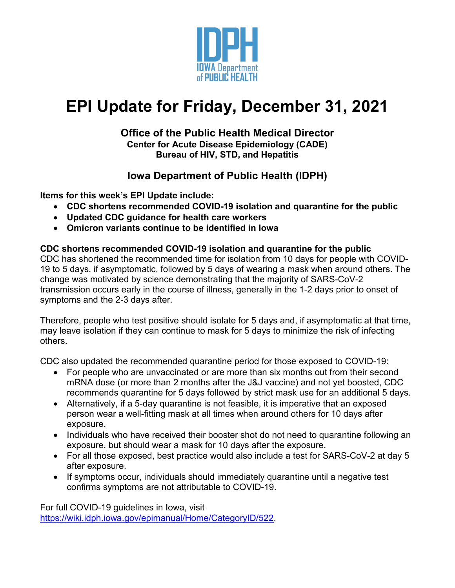

# **EPI Update for Friday, December 31, 2021**

## **Office of the Public Health Medical Director Center for Acute Disease Epidemiology (CADE) Bureau of HIV, STD, and Hepatitis**

# **Iowa Department of Public Health (IDPH)**

**Items for this week's EPI Update include:**

- **CDC shortens recommended COVID-19 isolation and quarantine for the public**
- **Updated CDC guidance for health care workers**
- **Omicron variants continue to be identified in Iowa**

# **CDC shortens recommended COVID-19 isolation and quarantine for the public**

CDC has shortened the recommended time for isolation from 10 days for people with COVID-19 to 5 days, if asymptomatic, followed by 5 days of wearing a mask when around others. The change was motivated by science demonstrating that the majority of SARS-CoV-2 transmission occurs early in the course of illness, generally in the 1-2 days prior to onset of symptoms and the 2-3 days after.

Therefore, people who test positive should isolate for 5 days and, if asymptomatic at that time, may leave isolation if they can continue to mask for 5 days to minimize the risk of infecting others.

CDC also updated the recommended quarantine period for those exposed to COVID-19:

- For people who are unvaccinated or are more than six months out from their second mRNA dose (or more than 2 months after the J&J vaccine) and not yet boosted, CDC recommends quarantine for 5 days followed by strict mask use for an additional 5 days.
- Alternatively, if a 5-day quarantine is not feasible, it is imperative that an exposed person wear a well-fitting mask at all times when around others for 10 days after exposure.
- Individuals who have received their booster shot do not need to quarantine following an exposure, but should wear a mask for 10 days after the exposure.
- For all those exposed, best practice would also include a test for SARS-CoV-2 at day 5 after exposure.
- If symptoms occur, individuals should immediately quarantine until a negative test confirms symptoms are not attributable to COVID-19.

For full COVID-19 guidelines in Iowa, visit [https://wiki.idph.iowa.gov/epimanual/Home/CategoryID/522.](https://wiki.idph.iowa.gov/epimanual/Home/CategoryID/522)